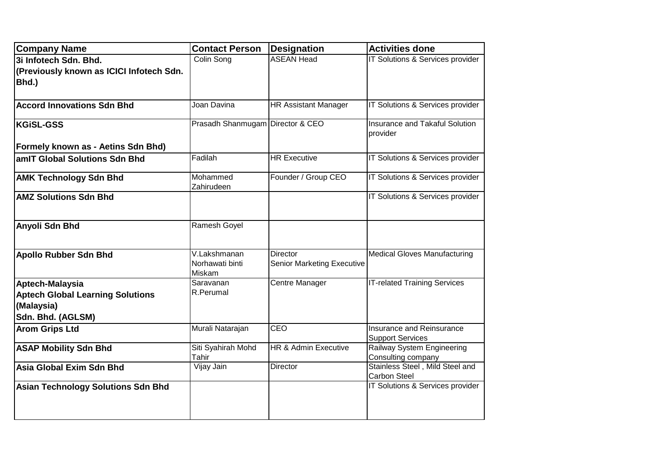| <b>Company Name</b>                                                                           | <b>Contact Person</b>                     | <b>Designation</b>                                   | <b>Activities done</b>                               |
|-----------------------------------------------------------------------------------------------|-------------------------------------------|------------------------------------------------------|------------------------------------------------------|
| 3i Infotech Sdn. Bhd.                                                                         | Colin Song                                | <b>ASEAN Head</b>                                    | IT Solutions & Services provider                     |
| (Previously known as ICICI Infotech Sdn.                                                      |                                           |                                                      |                                                      |
| Bhd.)                                                                                         |                                           |                                                      |                                                      |
|                                                                                               |                                           |                                                      |                                                      |
| <b>Accord Innovations Sdn Bhd</b>                                                             | Joan Davina                               | <b>HR Assistant Manager</b>                          | IT Solutions & Services provider                     |
| <b>KGiSL-GSS</b>                                                                              | Prasadh Shanmugam                         | Director & CEO                                       | Insurance and Takaful Solution<br>provider           |
| Formely known as - Aetins Sdn Bhd)                                                            |                                           |                                                      |                                                      |
| amIT Global Solutions Sdn Bhd                                                                 | Fadilah                                   | <b>HR Executive</b>                                  | IT Solutions & Services provider                     |
| <b>AMK Technology Sdn Bhd</b>                                                                 | Mohammed<br>Zahirudeen                    | Founder / Group CEO                                  | IT Solutions & Services provider                     |
| <b>AMZ Solutions Sdn Bhd</b>                                                                  |                                           |                                                      | IT Solutions & Services provider                     |
| <b>Anyoli Sdn Bhd</b>                                                                         | Ramesh Goyel                              |                                                      |                                                      |
| <b>Apollo Rubber Sdn Bhd</b>                                                                  | V.Lakshmanan<br>Norhawati binti<br>Miskam | <b>Director</b><br><b>Senior Marketing Executive</b> | <b>Medical Gloves Manufacturing</b>                  |
| Aptech-Malaysia<br><b>Aptech Global Learning Solutions</b><br>(Malaysia)<br>Sdn. Bhd. (AGLSM) | Saravanan<br>R.Perumal                    | Centre Manager                                       | <b>IT-related Training Services</b>                  |
| <b>Arom Grips Ltd</b>                                                                         | Murali Natarajan                          | CEO                                                  | Insurance and Reinsurance<br><b>Support Services</b> |
| <b>ASAP Mobility Sdn Bhd</b>                                                                  | Siti Syahirah Mohd<br>Tahir               | HR & Admin Executive                                 | Railway System Engineering<br>Consulting company     |
| Asia Global Exim Sdn Bhd                                                                      | Vijay Jain                                | <b>Director</b>                                      | Stainless Steel, Mild Steel and<br>Carbon Steel      |
| <b>Asian Technology Solutions Sdn Bhd</b>                                                     |                                           |                                                      | IT Solutions & Services provider                     |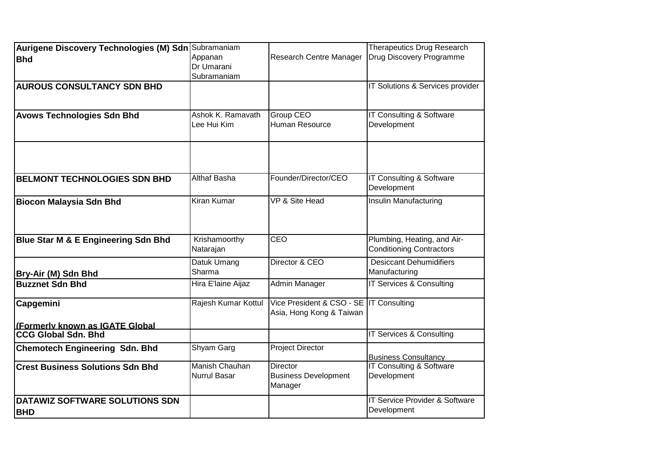| Aurigene Discovery Technologies (M) Sdn Subramaniam<br><b>Bhd</b><br><b>AUROUS CONSULTANCY SDN BHD</b><br><b>Avows Technologies Sdn Bhd</b> | Appanan<br>Dr Umarani<br>Subramaniam<br>Ashok K. Ramavath<br>Lee Hui Kim | <b>Research Centre Manager</b><br>Group CEO<br>Human Resource       | <b>Therapeutics Drug Research</b><br>Drug Discovery Programme<br>IT Solutions & Services provider<br>IT Consulting & Software<br>Development |
|---------------------------------------------------------------------------------------------------------------------------------------------|--------------------------------------------------------------------------|---------------------------------------------------------------------|----------------------------------------------------------------------------------------------------------------------------------------------|
| <b>BELMONT TECHNOLOGIES SDN BHD</b>                                                                                                         | Althaf Basha                                                             | Founder/Director/CEO                                                | IT Consulting & Software<br>Development                                                                                                      |
| <b>Biocon Malaysia Sdn Bhd</b>                                                                                                              | Kiran Kumar                                                              | VP & Site Head                                                      | Insulin Manufacturing                                                                                                                        |
| Blue Star M & E Engineering Sdn Bhd                                                                                                         | Krishamoorthy<br>Natarajan                                               | CEO                                                                 | Plumbing, Heating, and Air-<br><b>Conditioning Contractors</b>                                                                               |
| Bry-Air (M) Sdn Bhd                                                                                                                         | Datuk Umang<br>Sharma                                                    | Director & CEO                                                      | <b>Desiccant Dehumidifiers</b><br>Manufacturing                                                                                              |
| <b>Buzznet Sdn Bhd</b>                                                                                                                      | Hira E'laine Aijaz                                                       | Admin Manager                                                       | IT Services & Consulting                                                                                                                     |
| Capgemini<br>(Formerly known as IGATE Global                                                                                                | Rajesh Kumar Kottul                                                      | Vice President & CSO - SE IT Consulting<br>Asia, Hong Kong & Taiwan |                                                                                                                                              |
| <b>CCG Global Sdn. Bhd</b>                                                                                                                  |                                                                          |                                                                     | <b>IT Services &amp; Consulting</b>                                                                                                          |
| <b>Chemotech Engineering Sdn. Bhd</b>                                                                                                       | <b>Shyam Garg</b>                                                        | <b>Project Director</b>                                             | <b>Business Consultancy</b>                                                                                                                  |
| <b>Crest Business Solutions Sdn Bhd</b>                                                                                                     | <b>Manish Chauhan</b><br><b>Nurrul Basar</b>                             | Director<br><b>Business Development</b><br>Manager                  | <b>IT Consulting &amp; Software</b><br>Development                                                                                           |
| <b>DATAWIZ SOFTWARE SOLUTIONS SDN</b><br><b>BHD</b>                                                                                         |                                                                          |                                                                     | IT Service Provider & Software<br>Development                                                                                                |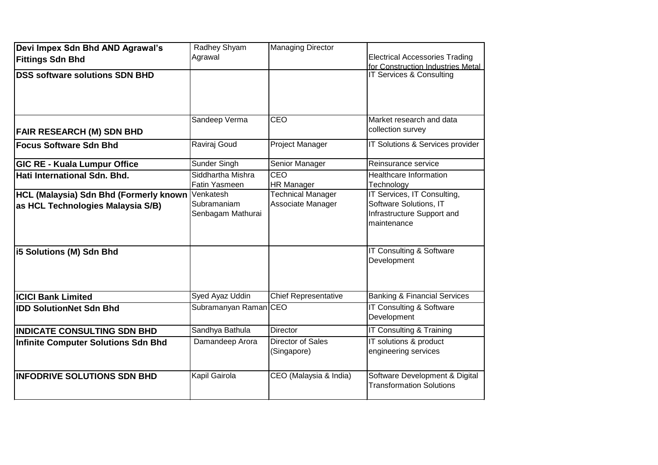| Devi Impex Sdn Bhd AND Agrawal's<br><b>Fittings Sdn Bhd</b>                 | Radhey Shyam<br>Agrawal                       | <b>Managing Director</b>                      | <b>Electrical Accessories Trading</b>                                                              |
|-----------------------------------------------------------------------------|-----------------------------------------------|-----------------------------------------------|----------------------------------------------------------------------------------------------------|
|                                                                             |                                               |                                               | for Construction Industries Metal                                                                  |
| <b>DSS software solutions SDN BHD</b>                                       |                                               |                                               | IT Services & Consulting                                                                           |
| <b>FAIR RESEARCH (M) SDN BHD</b>                                            | Sandeep Verma                                 | <b>CEO</b>                                    | Market research and data<br>collection survey                                                      |
| <b>Focus Software Sdn Bhd</b>                                               | Raviraj Goud                                  | <b>Project Manager</b>                        | IT Solutions & Services provider                                                                   |
| <b>GIC RE - Kuala Lumpur Office</b>                                         | Sunder Singh                                  | Senior Manager                                | Reinsurance service                                                                                |
| Hati International Sdn. Bhd.                                                | Siddhartha Mishra<br>Fatin Yasmeen            | <b>CEO</b><br><b>HR Manager</b>               | <b>Healthcare Information</b><br>Technology                                                        |
| HCL (Malaysia) Sdn Bhd (Formerly known<br>as HCL Technologies Malaysia S/B) | Venkatesh<br>Subramaniam<br>Senbagam Mathurai | <b>Technical Manager</b><br>Associate Manager | IT Services, IT Consulting,<br>Software Solutions, IT<br>Infrastructure Support and<br>maintenance |
| i5 Solutions (M) Sdn Bhd                                                    |                                               |                                               | IT Consulting & Software<br>Development                                                            |
| <b>ICICI Bank Limited</b>                                                   | Syed Ayaz Uddin                               | <b>Chief Representative</b>                   | <b>Banking &amp; Financial Services</b>                                                            |
| <b>IDD SolutionNet Sdn Bhd</b>                                              | Subramanyan Raman CEO                         |                                               | IT Consulting & Software<br>Development                                                            |
| <b>IINDICATE CONSULTING SDN BHD</b>                                         | Sandhya Bathula                               | <b>Director</b>                               | IT Consulting & Training                                                                           |
| Infinite Computer Solutions Sdn Bhd                                         | Damandeep Arora                               | Director of Sales<br>(Singapore)              | IT solutions & product<br>engineering services                                                     |
| <b>INFODRIVE SOLUTIONS SDN BHD</b>                                          | <b>Kapil Gairola</b>                          | CEO (Malaysia & India)                        | Software Development & Digital<br><b>Transformation Solutions</b>                                  |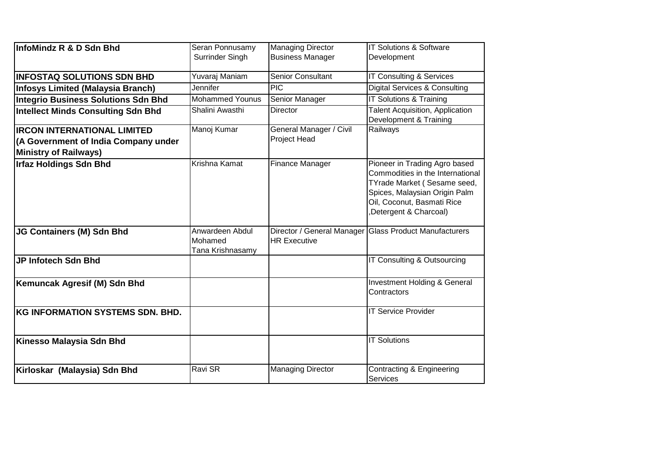| InfoMindz R & D Sdn Bhd                    | Seran Ponnusamy<br>Surrinder Singh             | <b>Managing Director</b><br><b>Business Manager</b> | <b>IT Solutions &amp; Software</b><br>Development                                                                                                                                        |
|--------------------------------------------|------------------------------------------------|-----------------------------------------------------|------------------------------------------------------------------------------------------------------------------------------------------------------------------------------------------|
|                                            |                                                |                                                     |                                                                                                                                                                                          |
| <b>INFOSTAQ SOLUTIONS SDN BHD</b>          | Yuvaraj Maniam                                 | <b>Senior Consultant</b>                            | IT Consulting & Services                                                                                                                                                                 |
| <b>Infosys Limited (Malaysia Branch)</b>   | Jennifer                                       | $\overline{PIC}$                                    | Digital Services & Consulting                                                                                                                                                            |
| <b>Integrio Business Solutions Sdn Bhd</b> | <b>Mohammed Younus</b>                         | Senior Manager                                      | <b>IT Solutions &amp; Training</b>                                                                                                                                                       |
| <b>Intellect Minds Consulting Sdn Bhd</b>  | Shalini Awasthi                                | <b>Director</b>                                     | <b>Talent Acquisition, Application</b><br>Development & Training                                                                                                                         |
| <b>IRCON INTERNATIONAL LIMITED</b>         | Manoj Kumar                                    | General Manager / Civil                             | Railways                                                                                                                                                                                 |
| (A Government of India Company under       |                                                | Project Head                                        |                                                                                                                                                                                          |
| <b>Ministry of Railways)</b>               |                                                |                                                     |                                                                                                                                                                                          |
| <b>Irfaz Holdings Sdn Bhd</b>              | Krishna Kamat                                  | <b>Finance Manager</b>                              | Pioneer in Trading Agro based<br>Commodities in the International<br>TYrade Market (Sesame seed,<br>Spices, Malaysian Origin Palm<br>Oil, Coconut, Basmati Rice<br>Detergent & Charcoal) |
| JG Containers (M) Sdn Bhd                  | Anwardeen Abdul<br>Mohamed<br>Tana Krishnasamy | <b>HR Executive</b>                                 | Director / General Manager Glass Product Manufacturers                                                                                                                                   |
| JP Infotech Sdn Bhd                        |                                                |                                                     | IT Consulting & Outsourcing                                                                                                                                                              |
| Kemuncak Agresif (M) Sdn Bhd               |                                                |                                                     | Investment Holding & General<br>Contractors                                                                                                                                              |
| <b>KG INFORMATION SYSTEMS SDN. BHD.</b>    |                                                |                                                     | <b>IT Service Provider</b>                                                                                                                                                               |
| Kinesso Malaysia Sdn Bhd                   |                                                |                                                     | <b>IT Solutions</b>                                                                                                                                                                      |
| Kirloskar (Malaysia) Sdn Bhd               | Ravi SR                                        | <b>Managing Director</b>                            | Contracting & Engineering<br><b>Services</b>                                                                                                                                             |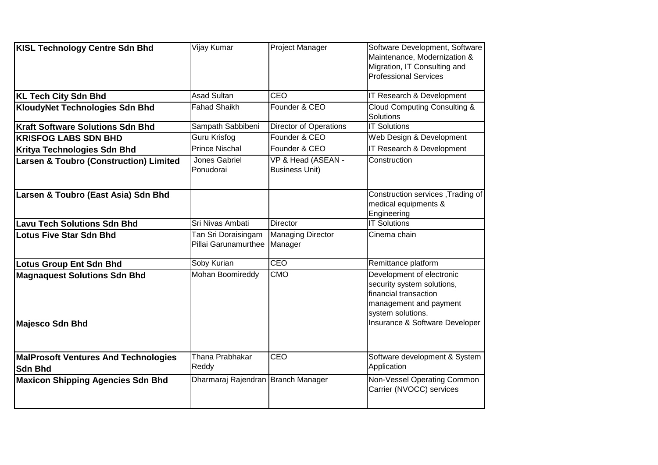| <b>KISL Technology Centre Sdn Bhd</b>                         | Vijay Kumar                                 | Project Manager                             | Software Development, Software<br>Maintenance, Modernization &<br>Migration, IT Consulting and<br><b>Professional Services</b>  |
|---------------------------------------------------------------|---------------------------------------------|---------------------------------------------|---------------------------------------------------------------------------------------------------------------------------------|
| <b>KL Tech City Sdn Bhd</b>                                   | <b>Asad Sultan</b>                          | CEO                                         | IT Research & Development                                                                                                       |
| <b>KloudyNet Technologies Sdn Bhd</b>                         | <b>Fahad Shaikh</b>                         | Founder & CEO                               | Cloud Computing Consulting &<br><b>Solutions</b>                                                                                |
| <b>Kraft Software Solutions Sdn Bhd</b>                       | Sampath Sabbibeni                           | Director of Operations                      | <b>IT Solutions</b>                                                                                                             |
| <b>KRISFOG LABS SDN BHD</b>                                   | <b>Guru Krisfog</b>                         | Founder & CEO                               | Web Design & Development                                                                                                        |
| Kritya Technologies Sdn Bhd                                   | <b>Prince Nischal</b>                       | Founder & CEO                               | IT Research & Development                                                                                                       |
| <b>Larsen &amp; Toubro (Construction) Limited</b>             | Jones Gabriel<br>Ponudorai                  | VP & Head (ASEAN -<br><b>Business Unit)</b> | Construction                                                                                                                    |
| Larsen & Toubro (East Asia) Sdn Bhd                           |                                             |                                             | Construction services, Trading of<br>medical equipments &<br>Engineering                                                        |
| <b>Lavu Tech Solutions Sdn Bhd</b>                            | Sri Nivas Ambati                            | <b>Director</b>                             | <b>IT Solutions</b>                                                                                                             |
| <b>Lotus Five Star Sdn Bhd</b>                                | Tan Sri Doraisingam<br>Pillai Garunamurthee | <b>Managing Director</b><br>Manager         | Cinema chain                                                                                                                    |
| <b>Lotus Group Ent Sdn Bhd</b>                                | Soby Kurian                                 | <b>CEO</b>                                  | Remittance platform                                                                                                             |
| <b>Magnaquest Solutions Sdn Bhd</b>                           | <b>Mohan Boomireddy</b>                     | <b>CMO</b>                                  | Development of electronic<br>security system solutions,<br>financial transaction<br>management and payment<br>system solutions. |
| <b>Majesco Sdn Bhd</b>                                        |                                             |                                             | Insurance & Software Developer                                                                                                  |
| <b>MalProsoft Ventures And Technologies</b><br><b>Sdn Bhd</b> | Thana Prabhakar<br>Reddy                    | CEO                                         | Software development & System<br>Application                                                                                    |
| <b>Maxicon Shipping Agencies Sdn Bhd</b>                      | Dharmaraj Rajendran Branch Manager          |                                             | Non-Vessel Operating Common<br>Carrier (NVOCC) services                                                                         |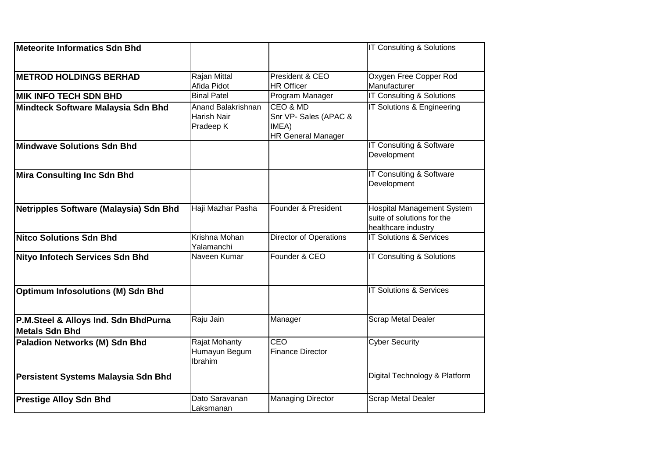| Meteorite Informatics Sdn Bhd                                 |                                                |                                                                         | IT Consulting & Solutions                                                              |
|---------------------------------------------------------------|------------------------------------------------|-------------------------------------------------------------------------|----------------------------------------------------------------------------------------|
| <b>METROD HOLDINGS BERHAD</b>                                 | Rajan Mittal<br>Afida Pidot                    | President & CEO<br><b>HR Officer</b>                                    | Oxygen Free Copper Rod<br>Manufacturer                                                 |
| <b>MIK INFO TECH SDN BHD</b>                                  | <b>Binal Patel</b>                             | Program Manager                                                         | <b>IT Consulting &amp; Solutions</b>                                                   |
| Mindteck Software Malaysia Sdn Bhd                            | Anand Balakrishnan<br>Harish Nair<br>Pradeep K | CEO & MD<br>Snr VP- Sales (APAC &<br>IMEA)<br><b>HR General Manager</b> | IT Solutions & Engineering                                                             |
| Mindwave Solutions Sdn Bhd                                    |                                                |                                                                         | <b>IT Consulting &amp; Software</b><br>Development                                     |
| <b>Mira Consulting Inc Sdn Bhd</b>                            |                                                |                                                                         | IT Consulting & Software<br>Development                                                |
| Netripples Software (Malaysia) Sdn Bhd                        | Haji Mazhar Pasha                              | Founder & President                                                     | <b>Hospital Management System</b><br>suite of solutions for the<br>healthcare industry |
| <b>Nitco Solutions Sdn Bhd</b>                                | Krishna Mohan<br>Yalamanchi                    | <b>Director of Operations</b>                                           | <b>IT Solutions &amp; Services</b>                                                     |
| Nityo Infotech Services Sdn Bhd                               | Naveen Kumar                                   | Founder & CEO                                                           | IT Consulting & Solutions                                                              |
| <b>Optimum Infosolutions (M) Sdn Bhd</b>                      |                                                |                                                                         | <b>IT Solutions &amp; Services</b>                                                     |
| P.M.Steel & Alloys Ind. Sdn BhdPurna<br><b>Metals Sdn Bhd</b> | Raju Jain                                      | Manager                                                                 | <b>Scrap Metal Dealer</b>                                                              |
| Paladion Networks (M) Sdn Bhd                                 | Rajat Mohanty<br>Humayun Begum<br>Ibrahim      | CEO<br><b>Finance Director</b>                                          | <b>Cyber Security</b>                                                                  |
| Persistent Systems Malaysia Sdn Bhd                           |                                                |                                                                         | Digital Technology & Platform                                                          |
| <b>Prestige Alloy Sdn Bhd</b>                                 | Dato Saravanan<br>Laksmanan                    | <b>Managing Director</b>                                                | <b>Scrap Metal Dealer</b>                                                              |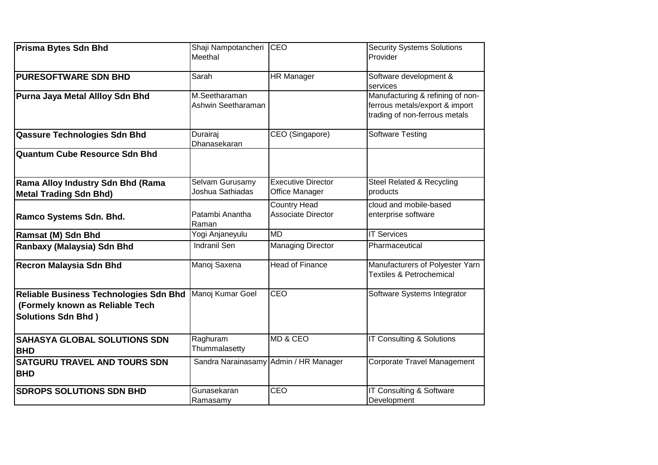| <b>Prisma Bytes Sdn Bhd</b>                                                                                   | Shaji Nampotancheri<br>Meethal      | <b>CEO</b>                                       | <b>Security Systems Solutions</b><br>Provider                                                       |
|---------------------------------------------------------------------------------------------------------------|-------------------------------------|--------------------------------------------------|-----------------------------------------------------------------------------------------------------|
| <b>PURESOFTWARE SDN BHD</b>                                                                                   | Sarah                               | <b>HR Manager</b>                                | Software development &<br>services                                                                  |
| Purna Jaya Metal Allloy Sdn Bhd                                                                               | M.Seetharaman<br>Ashwin Seetharaman |                                                  | Manufacturing & refining of non-<br>ferrous metals/export & import<br>trading of non-ferrous metals |
| <b>Qassure Technologies Sdn Bhd</b>                                                                           | Durairaj<br>Dhanasekaran            | CEO (Singapore)                                  | <b>Software Testing</b>                                                                             |
| <b>Quantum Cube Resource Sdn Bhd</b>                                                                          |                                     |                                                  |                                                                                                     |
| Rama Alloy Industry Sdn Bhd (Rama<br><b>Metal Trading Sdn Bhd)</b>                                            | Selvam Gurusamy<br>Joshua Sathiadas | <b>Executive Director</b><br>Office Manager      | Steel Related & Recycling<br>products                                                               |
| Ramco Systems Sdn. Bhd.                                                                                       | Patambi Anantha<br>Raman            | <b>Country Head</b><br><b>Associate Director</b> | cloud and mobile-based<br>enterprise software                                                       |
| <b>Ramsat (M) Sdn Bhd</b>                                                                                     | Yogi Anjaneyulu                     | $\overline{MD}$                                  | <b>IT Services</b>                                                                                  |
| Ranbaxy (Malaysia) Sdn Bhd                                                                                    | <b>Indranil Sen</b>                 | <b>Managing Director</b>                         | Pharmaceutical                                                                                      |
| <b>Recron Malaysia Sdn Bhd</b>                                                                                | Manoj Saxena                        | <b>Head of Finance</b>                           | Manufacturers of Polyester Yarn<br><b>Textiles &amp; Petrochemical</b>                              |
| <b>Reliable Business Technologies Sdn Bhd</b><br>(Formely known as Reliable Tech<br><b>Solutions Sdn Bhd)</b> | Manoj Kumar Goel                    | CEO                                              | Software Systems Integrator                                                                         |
| <b>SAHASYA GLOBAL SOLUTIONS SDN</b><br><b>BHD</b>                                                             | Raghuram<br>Thummalasetty           | MD & CEO                                         | IT Consulting & Solutions                                                                           |
| <b>SATGURU TRAVEL AND TOURS SDN</b><br><b>BHD</b>                                                             |                                     | Sandra Narainasamy Admin / HR Manager            | Corporate Travel Management                                                                         |
| <b>SDROPS SOLUTIONS SDN BHD</b>                                                                               | Gunasekaran<br>Ramasamy             | CEO                                              | <b>IT Consulting &amp; Software</b><br>Development                                                  |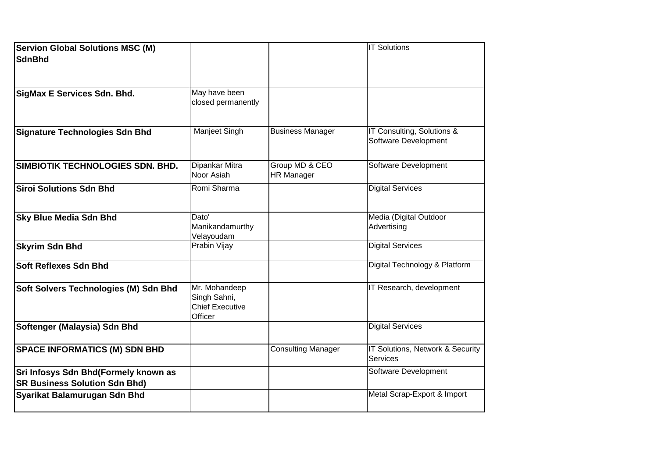| <b>Servion Global Solutions MSC (M)</b><br>SdnBhd                            |                                                                    |                                     | <b>IT Solutions</b>                                |
|------------------------------------------------------------------------------|--------------------------------------------------------------------|-------------------------------------|----------------------------------------------------|
| SigMax E Services Sdn. Bhd.                                                  | May have been<br>closed permanently                                |                                     |                                                    |
| <b>Signature Technologies Sdn Bhd</b>                                        | Manjeet Singh                                                      | <b>Business Manager</b>             | IT Consulting, Solutions &<br>Software Development |
| SIMBIOTIK TECHNOLOGIES SDN. BHD.                                             | Dipankar Mitra<br>Noor Asiah                                       | Group MD & CEO<br><b>HR Manager</b> | Software Development                               |
| <b>Siroi Solutions Sdn Bhd</b>                                               | Romi Sharma                                                        |                                     | <b>Digital Services</b>                            |
| <b>Sky Blue Media Sdn Bhd</b>                                                | Dato'<br>Manikandamurthy<br>Velayoudam                             |                                     | Media (Digital Outdoor<br>Advertising              |
| <b>Skyrim Sdn Bhd</b>                                                        | Prabin Vijay                                                       |                                     | <b>Digital Services</b>                            |
| <b>Soft Reflexes Sdn Bhd</b>                                                 |                                                                    |                                     | Digital Technology & Platform                      |
| Soft Solvers Technologies (M) Sdn Bhd                                        | Mr. Mohandeep<br>Singh Sahni,<br><b>Chief Executive</b><br>Officer |                                     | IT Research, development                           |
| Softenger (Malaysia) Sdn Bhd                                                 |                                                                    |                                     | <b>Digital Services</b>                            |
| <b>SPACE INFORMATICS (M) SDN BHD</b>                                         |                                                                    | <b>Consulting Manager</b>           | IT Solutions, Network & Security<br>Services       |
| Sri Infosys Sdn Bhd(Formely known as<br><b>SR Business Solution Sdn Bhd)</b> |                                                                    |                                     | Software Development                               |
| Syarikat Balamurugan Sdn Bhd                                                 |                                                                    |                                     | Metal Scrap-Export & Import                        |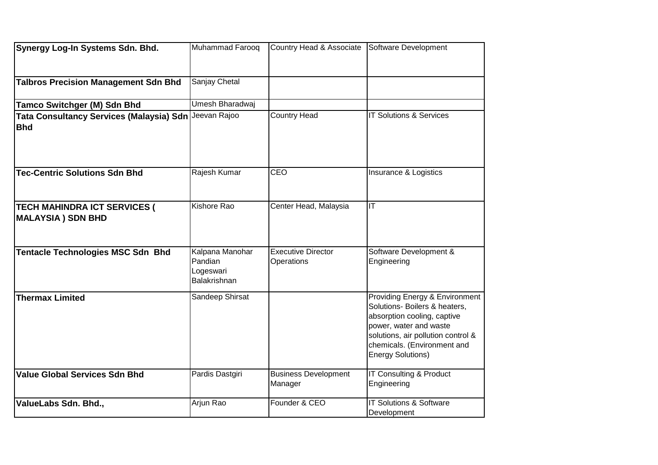| Synergy Log-In Systems Sdn. Bhd.                                    | Muhammad Farooq                                                | Country Head & Associate Software Development |                                                                                                                                                                                                                    |
|---------------------------------------------------------------------|----------------------------------------------------------------|-----------------------------------------------|--------------------------------------------------------------------------------------------------------------------------------------------------------------------------------------------------------------------|
|                                                                     |                                                                |                                               |                                                                                                                                                                                                                    |
| <b>Talbros Precision Management Sdn Bhd</b>                         | Sanjay Chetal                                                  |                                               |                                                                                                                                                                                                                    |
| <b>Tamco Switchger (M) Sdn Bhd</b>                                  | Umesh Bharadwaj                                                |                                               |                                                                                                                                                                                                                    |
| Tata Consultancy Services (Malaysia) Sdn Jeevan Rajoo<br><b>Bhd</b> |                                                                | <b>Country Head</b>                           | <b>IT Solutions &amp; Services</b>                                                                                                                                                                                 |
| <b>Tec-Centric Solutions Sdn Bhd</b>                                | Rajesh Kumar                                                   | CEO                                           | Insurance & Logistics                                                                                                                                                                                              |
| <b>TECH MAHINDRA ICT SERVICES (</b><br><b>MALAYSIA) SDN BHD</b>     | Kishore Rao                                                    | Center Head, Malaysia                         | $\overline{\mathsf{I}\mathsf{T}}$                                                                                                                                                                                  |
| <b>Tentacle Technologies MSC Sdn Bhd</b>                            | Kalpana Manohar<br>Pandian<br>Logeswari<br><b>Balakrishnan</b> | <b>Executive Director</b><br>Operations       | Software Development &<br>Engineering                                                                                                                                                                              |
| <b>Thermax Limited</b>                                              | Sandeep Shirsat                                                |                                               | Providing Energy & Environment<br>Solutions- Boilers & heaters,<br>absorption cooling, captive<br>power, water and waste<br>solutions, air pollution control &<br>chemicals. (Environment and<br>Energy Solutions) |
| <b>Value Global Services Sdn Bhd</b>                                | Pardis Dastgiri                                                | <b>Business Development</b><br>Manager        | IT Consulting & Product<br>Engineering                                                                                                                                                                             |
| ValueLabs Sdn. Bhd.,                                                | Arjun Rao                                                      | Founder & CEO                                 | IT Solutions & Software<br>Development                                                                                                                                                                             |